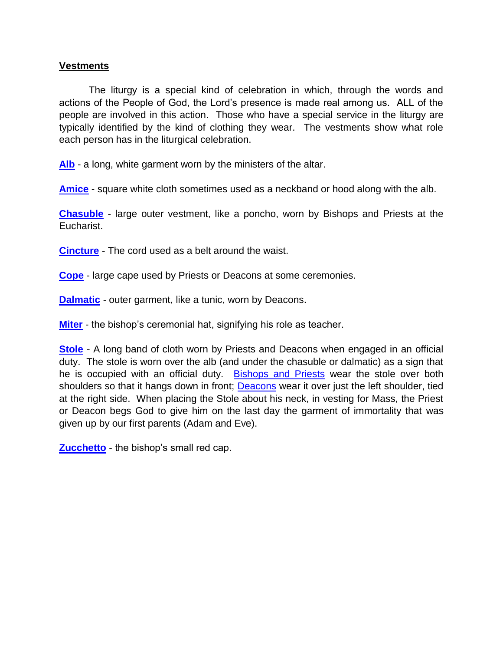## **Vestments**

The liturgy is a special kind of celebration in which, through the words and actions of the People of God, the Lord's presence is made real among us. ALL of the people are involved in this action. Those who have a special service in the liturgy are typically identified by the kind of clothing they wear. The vestments show what role each person has in the liturgical celebration.

**[Alb](http://www.sacredheartparishshadyside.org/uploads/4d8853af18b7776b0ff771e87c747270c3be4e6a/5biplujox79yl1m3ywd9b9qw1ns.jpg)** - a long, white garment worn by the ministers of the altar.

**[Amice](http://www.sacredheartparishshadyside.org/uploads/4d8853af18b7776b0ff771e87c747270c3be4e6a/6osg252cxi2ysnrpop203nr9cls.jpg)** - square white cloth sometimes used as a neckband or hood along with the alb.

**[Chasuble](http://www.sacredheartparishshadyside.org/uploads/4d8853af18b7776b0ff771e87c747270c3be4e6a/bql356v0tf88u85ahahj076b7as.jpg)** - large outer vestment, like a poncho, worn by Bishops and Priests at the Eucharist.

**[Cincture](http://www.sacredheartparishshadyside.org/uploads/4d8853af18b7776b0ff771e87c747270c3be4e6a/9d7scf8x19a91to3h562kcq2wzs.jpg)** - The cord used as a belt around the waist.

**[Cope](http://www.sacredheartparishshadyside.org/uploads/4d8853af18b7776b0ff771e87c747270c3be4e6a/wnxpdgfezpka0j485dsyfl1bsws.jpg)** - large cape used by Priests or Deacons at some ceremonies.

**[Dalmatic](http://www.sacredheartparishshadyside.org/uploads/4d8853af18b7776b0ff771e87c747270c3be4e6a/vpj2gemr9o72z3u68mzlnhcioxs.jpg)** - outer garment, like a tunic, worn by Deacons.

**[Miter](http://www.sacredheartparishshadyside.org/uploads/4d8853af18b7776b0ff771e87c747270c3be4e6a/kjlo4jqz8455axf2agr65uho14s.jpg)** - the bishop's ceremonial hat, signifying his role as teacher.

**[Stole](http://www.sacredheartparishshadyside.org/uploads/4d8853af18b7776b0ff771e87c747270c3be4e6a/z7n6qm9m658nlv5euvj3i2jpsus.jpg)** - A long band of cloth worn by Priests and Deacons when engaged in an official duty. The stole is worn over the alb (and under the chasuble or dalmatic) as a sign that he is occupied with an official duty. [Bishops and Priests](http://www.sacredheartparishshadyside.org/uploads/4d8853af18b7776b0ff771e87c747270c3be4e6a/7a9em374cz2vrxnzfkbt03s3kds.jpg) wear the stole over both shoulders so that it hangs down in front; [Deacons](http://www.sacredheartparishshadyside.org/uploads/4d8853af18b7776b0ff771e87c747270c3be4e6a/oxv93125lefjekvdyqu0bq645js.jpg) wear it over just the left shoulder, tied at the right side. When placing the Stole about his neck, in vesting for Mass, the Priest or Deacon begs God to give him on the last day the garment of immortality that was given up by our first parents (Adam and Eve).

**[Zucchetto](http://www.sacredheartparishshadyside.org/uploads/4d8853af18b7776b0ff771e87c747270c3be4e6a/umvti8yo8obx0cw1glxl3arn3ps.jpg)** - the bishop's small red cap.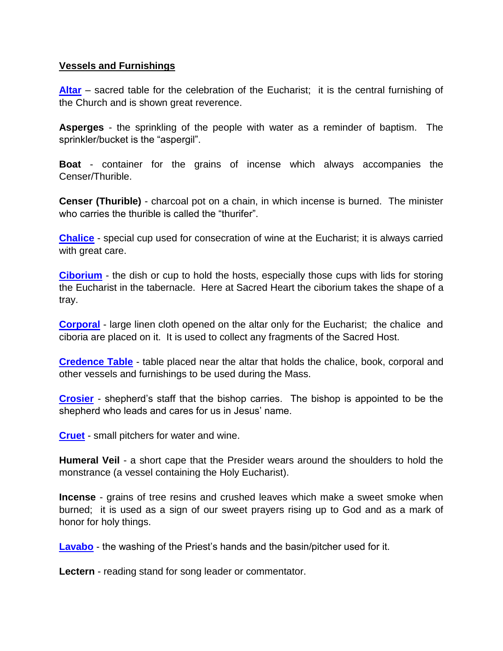## **Vessels and Furnishings**

**[Altar](http://www.sacredheartparishshadyside.org/uploads/4d8853af18b7776b0ff771e87c747270c3be4e6a/vxoqnfzpxrj3a65hfuznkqn8zbs.jpg)** – sacred table for the celebration of the Eucharist; it is the central furnishing of the Church and is shown great reverence.

**Asperges** - the sprinkling of the people with water as a reminder of baptism. The sprinkler/bucket is the "aspergil".

**Boat** - container for the grains of incense which always accompanies the Censer/Thurible.

**Censer (Thurible)** - charcoal pot on a chain, in which incense is burned. The minister who carries the thurible is called the "thurifer".

**[Chalice](http://www.sacredheartparishshadyside.org/uploads/4d8853af18b7776b0ff771e87c747270c3be4e6a/rkv89w3hcichwos97hlqqzfrsos.jpg)** - special cup used for consecration of wine at the Eucharist; it is always carried with great care.

**[Ciborium](http://www.sacredheartparishshadyside.org/uploads/4d8853af18b7776b0ff771e87c747270c3be4e6a/8jumvuwkqowkhan8ip9wbds7yds.jpg)** - the dish or cup to hold the hosts, especially those cups with lids for storing the Eucharist in the tabernacle. Here at Sacred Heart the ciborium takes the shape of a tray.

**[Corporal](http://www.sacredheartparishshadyside.org/uploads/4d8853af18b7776b0ff771e87c747270c3be4e6a/dd3tj3ff4bd8dev6f3rygwzjdzs.jpg)** - large linen cloth opened on the altar only for the Eucharist; the chalice and ciboria are placed on it. It is used to collect any fragments of the Sacred Host.

**[Credence Table](http://www.sacredheartparishshadyside.org/uploads/4d8853af18b7776b0ff771e87c747270c3be4e6a/7awl1zznkbsjv7wdk5wurz8ybws.jpg)** - table placed near the altar that holds the chalice, book, corporal and other vessels and furnishings to be used during the Mass.

**[Crosier](http://www.sacredheartparishshadyside.org/uploads/4d8853af18b7776b0ff771e87c747270c3be4e6a/yrx0koosasdq8ge2p8m7m7udgbs.jpg)** - shepherd's staff that the bishop carries. The bishop is appointed to be the shepherd who leads and cares for us in Jesus' name.

**[Cruet](http://www.sacredheartparishshadyside.org/uploads/4d8853af18b7776b0ff771e87c747270c3be4e6a/3ae87vlewzc8l4hpys3q4pu3iks.jpg)** - small pitchers for water and wine.

**Humeral Veil** - a short cape that the Presider wears around the shoulders to hold the monstrance (a vessel containing the Holy Eucharist).

**Incense** - grains of tree resins and crushed leaves which make a sweet smoke when burned; it is used as a sign of our sweet prayers rising up to God and as a mark of honor for holy things.

**[Lavabo](http://www.sacredheartparishshadyside.org/uploads/4d8853af18b7776b0ff771e87c747270c3be4e6a/wetaqqvuio4tcy9z3jrx520lncs.jpg)** - the washing of the Priest's hands and the basin/pitcher used for it.

**Lectern** - reading stand for song leader or commentator.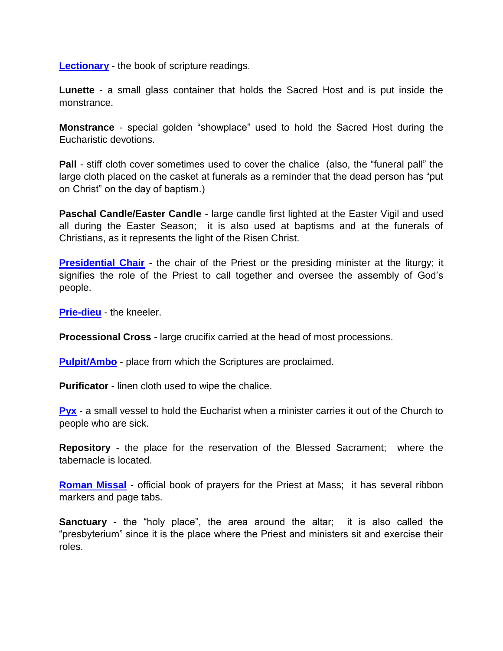**[Lectionary](http://www.sacredheartparishshadyside.org/uploads/4d8853af18b7776b0ff771e87c747270c3be4e6a/rgfgiopnkuyzz0n9bn2x9rfdnss.jpg)** - the book of scripture readings.

**Lunette** - a small glass container that holds the Sacred Host and is put inside the monstrance.

**Monstrance** - special golden "showplace" used to hold the Sacred Host during the Eucharistic devotions.

**Pall** - stiff cloth cover sometimes used to cover the chalice (also, the "funeral pall" the large cloth placed on the casket at funerals as a reminder that the dead person has "put on Christ" on the day of baptism.)

**Paschal Candle/Easter Candle** - large candle first lighted at the Easter Vigil and used all during the Easter Season; it is also used at baptisms and at the funerals of Christians, as it represents the light of the Risen Christ.

**[Presidential Chair](http://www.sacredheartparishshadyside.org/uploads/4d8853af18b7776b0ff771e87c747270c3be4e6a/qgwypemuagvj0qfjuxwmkg4ekqs.jpg)** - the chair of the Priest or the presiding minister at the liturgy; it signifies the role of the Priest to call together and oversee the assembly of God's people.

**[Prie-dieu](http://www.sacredheartparishshadyside.org/uploads/4d8853af18b7776b0ff771e87c747270c3be4e6a/rz3xs5hfpi11af6m1i2mu79kfxs.jpg)** - the kneeler.

**Processional Cross** - large crucifix carried at the head of most processions.

**[Pulpit/Ambo](http://www.sacredheartparishshadyside.org/uploads/4d8853af18b7776b0ff771e87c747270c3be4e6a/1x2g0wiv84kj6gwa0pucmn4t0ys.jpg)** - place from which the Scriptures are proclaimed.

**Purificator** - linen cloth used to wipe the chalice.

**[Pyx](http://www.sacredheartparishshadyside.org/uploads/4d8853af18b7776b0ff771e87c747270c3be4e6a/a2wumeflwstk8ayfiy3x8p3s4js.jpg)** - a small vessel to hold the Eucharist when a minister carries it out of the Church to people who are sick.

**Repository** - the place for the reservation of the Blessed Sacrament; where the tabernacle is located.

**[Roman Missal](http://www.sacredheartparishshadyside.org/uploads/4d8853af18b7776b0ff771e87c747270c3be4e6a/pal9nzbxd74eydi9wa1h2g8u1as.jpg)** - official book of prayers for the Priest at Mass; it has several ribbon markers and page tabs.

**Sanctuary** - the "holy place", the area around the altar; it is also called the "presbyterium" since it is the place where the Priest and ministers sit and exercise their roles.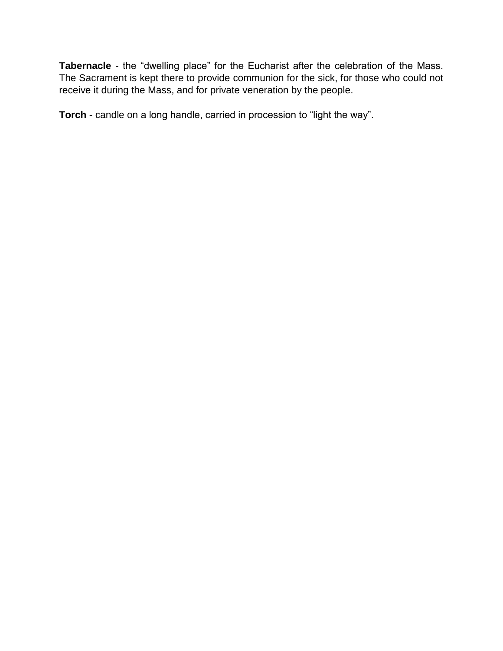**Tabernacle** - the "dwelling place" for the Eucharist after the celebration of the Mass. The Sacrament is kept there to provide communion for the sick, for those who could not receive it during the Mass, and for private veneration by the people.

**Torch** - candle on a long handle, carried in procession to "light the way".